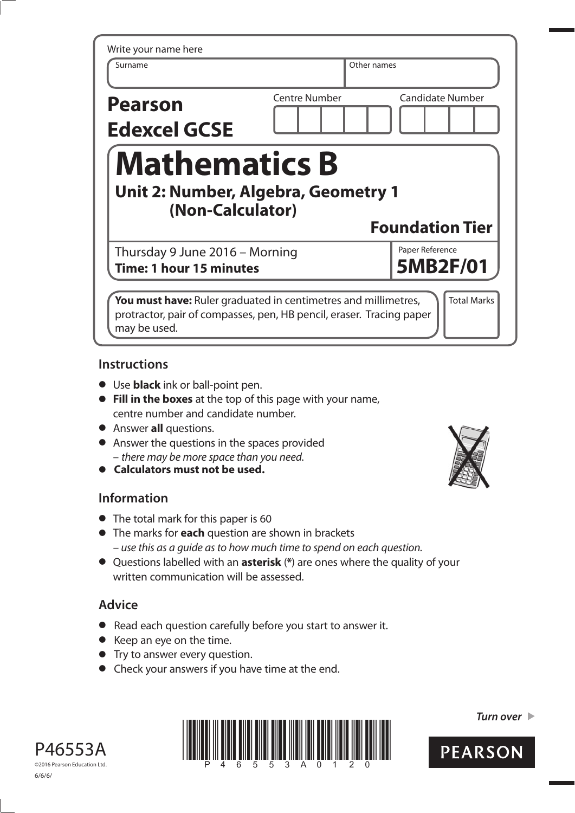| Write your name here                                    |                      |                         |
|---------------------------------------------------------|----------------------|-------------------------|
| Surname                                                 |                      | Other names             |
| <b>Pearson</b>                                          | <b>Centre Number</b> | <b>Candidate Number</b> |
| <b>Edexcel GCSE</b>                                     |                      |                         |
| <b>Mathematics B</b>                                    |                      |                         |
|                                                         |                      |                         |
| Unit 2: Number, Algebra, Geometry 1<br>(Non-Calculator) |                      |                         |
|                                                         |                      | <b>Foundation Tier</b>  |
| Thursday 9 June 2016 - Morning                          |                      | Paper Reference         |
| <b>Time: 1 hour 15 minutes</b>                          |                      | <b>5MB2F/01</b>         |

## **Instructions**

- **•** Use **black** ink or ball-point pen.
- **• Fill in the boxes** at the top of this page with your name, centre number and candidate number.
- **•** Answer **all** questions.
- **•** Answer the questions in the spaces provided – there may be more space than you need. **• Calculators must not be used.**
- 

## **Information**

- **•** The total mark for this paper is 60
- **•** The marks for **each** question are shown in brackets – use this as a guide as to how much time to spend on each question.
- **•** Questions labelled with an **asterisk** (**\***) are ones where the quality of your written communication will be assessed.

## **Advice**

- **•** Read each question carefully before you start to answer it.
- **•** Keep an eye on the time.
- **•** Try to answer every question.
- **•** Check your answers if you have time at the end.





*Turn over* 



©2016 Pearson Education Ltd. 6/6/6/

P46553A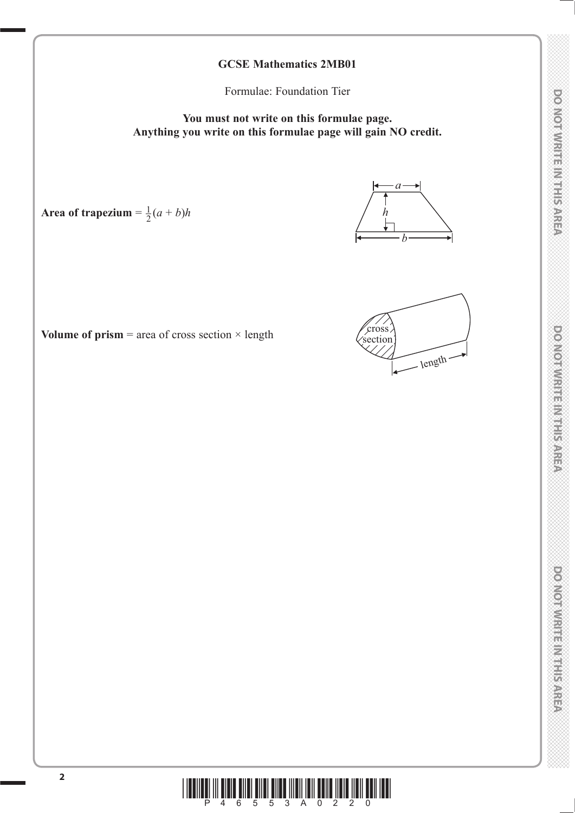# **DO NOT WRITE IN THIS AREA DO NOT WRITE IN THIS AREA DO NOT WRITE IN THIS AREA DO NOT WRITE IN THIS AREA DO NOT WRITE IN THIS AREA DO NOT WRITE IN THIS AREA DO NOT WRITE IN THIS AREA DO NOT WRITE IN THIS AREA DO NOT WRITE DO NOTWRITEIN THE REE**A

## DOMOTWRITE MITHIEMS

## **GCSE Mathematics 2MB01**

Formulae: Foundation Tier

**You must not write on this formulae page. Anything you write on this formulae page will gain NO credit.**

Area of trapezium  $= \frac{1}{2}(a+b)h$ 



*b*

*a*

*h*

**Volume of prism**  $=$  **area of cross section**  $\times$  **length** 

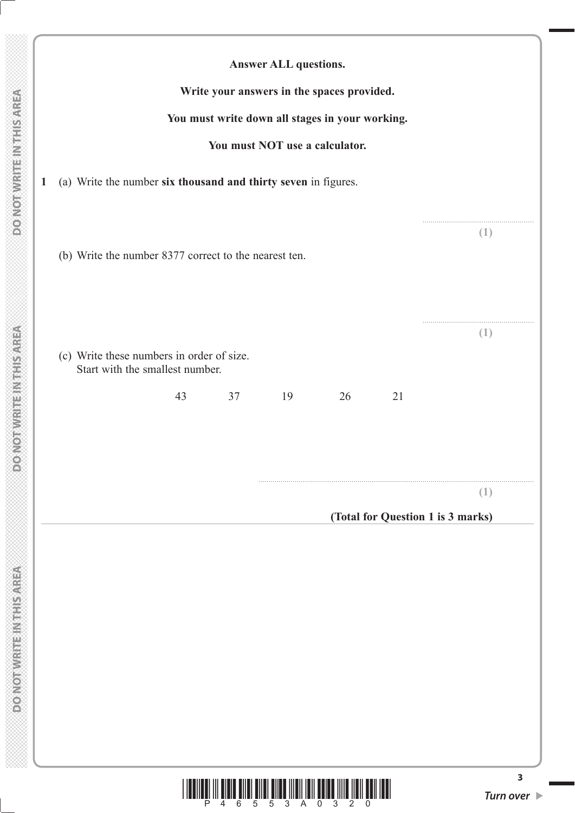|                                                                              |    |    | <b>Answer ALL questions.</b>   |                                                 |                                   |          |
|------------------------------------------------------------------------------|----|----|--------------------------------|-------------------------------------------------|-----------------------------------|----------|
|                                                                              |    |    |                                | Write your answers in the spaces provided.      |                                   |          |
|                                                                              |    |    |                                | You must write down all stages in your working. |                                   |          |
|                                                                              |    |    | You must NOT use a calculator. |                                                 |                                   |          |
| (a) Write the number six thousand and thirty seven in figures.               |    |    |                                |                                                 |                                   |          |
|                                                                              |    |    |                                |                                                 |                                   |          |
|                                                                              |    |    |                                |                                                 |                                   | (1)      |
| (b) Write the number 8377 correct to the nearest ten.                        |    |    |                                |                                                 |                                   |          |
|                                                                              |    |    |                                |                                                 |                                   |          |
|                                                                              |    |    |                                |                                                 |                                   |          |
| (c) Write these numbers in order of size.<br>Start with the smallest number. |    |    |                                |                                                 |                                   | (1)      |
|                                                                              | 43 | 37 | 19                             | 26                                              | 21                                |          |
|                                                                              |    |    |                                |                                                 |                                   |          |
|                                                                              |    |    |                                |                                                 |                                   |          |
|                                                                              |    |    |                                |                                                 |                                   |          |
|                                                                              |    |    |                                |                                                 | (Total for Question 1 is 3 marks) | $(\bot)$ |

**3**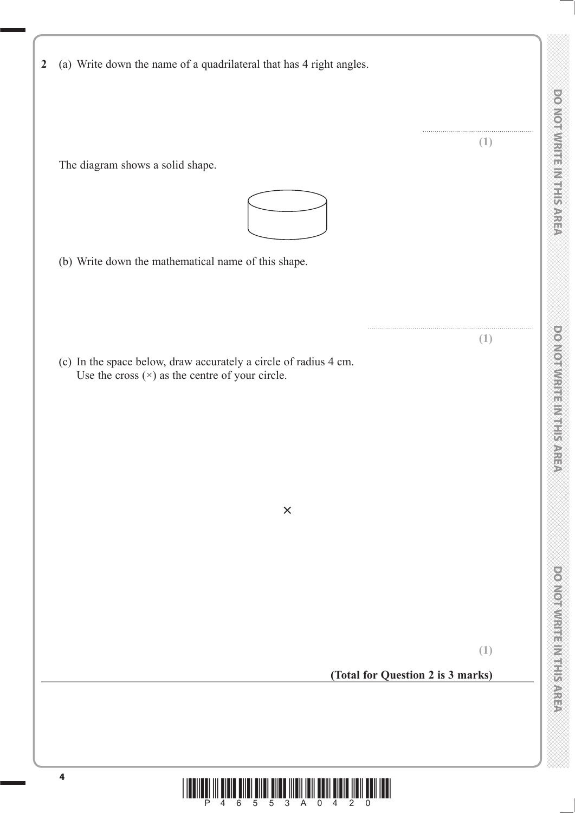|  |  |  |  | 2 (a) Write down the name of a quadrilateral that has 4 right angles. |  |  |  |
|--|--|--|--|-----------------------------------------------------------------------|--|--|--|
|  |  |  |  |                                                                       |  |  |  |

The diagram shows a solid shape.



(b) Write down the mathematical name of this shape.

 (c) In the space below, draw accurately a circle of radius 4 cm. Use the cross  $(x)$  as the centre of your circle.



**×**

.......................................................

DO NOTWRITEIN THIS AREA

**(1)**

**(1)**

## **(Total for Question 2 is 3 marks)**

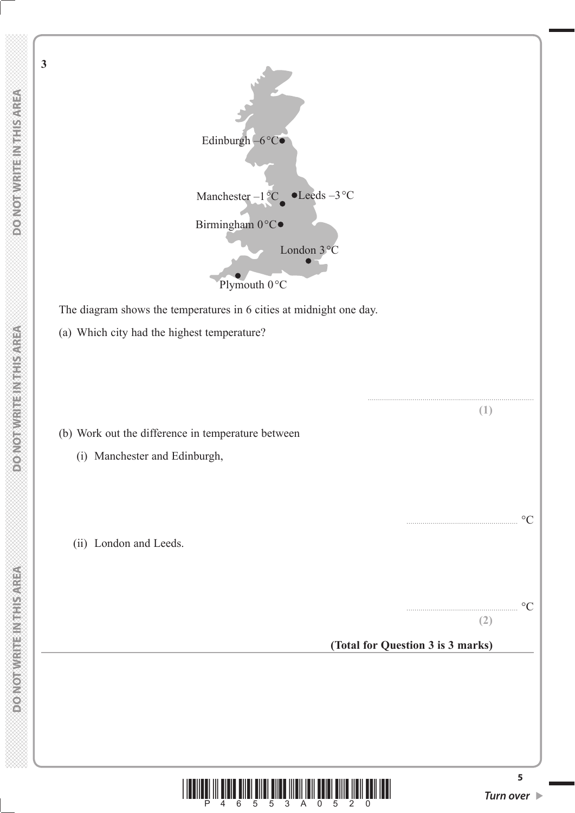**DOMOTHRITEINTHIS AREA** 

**MONOTHERNESS NEWSFILE** 

**3**

**5** Birmingham 0°C● Edinburgh  $-6^{\circ}$ C $\bullet$ Plymouth 0°C London 3°C Manchester – $1\,^{\circ}\text{C}$   $\bullet$  Leeds –3 $^{\circ}\text{C}$  The diagram shows the temperatures in 6 cities at midnight one day. (a) Which city had the highest temperature? **(1)** (b) Work out the difference in temperature between (i) Manchester and Edinburgh, ....................................................... °C (ii) London and Leeds. ....................................................... °C **(2) (Total for Question 3 is 3 marks)**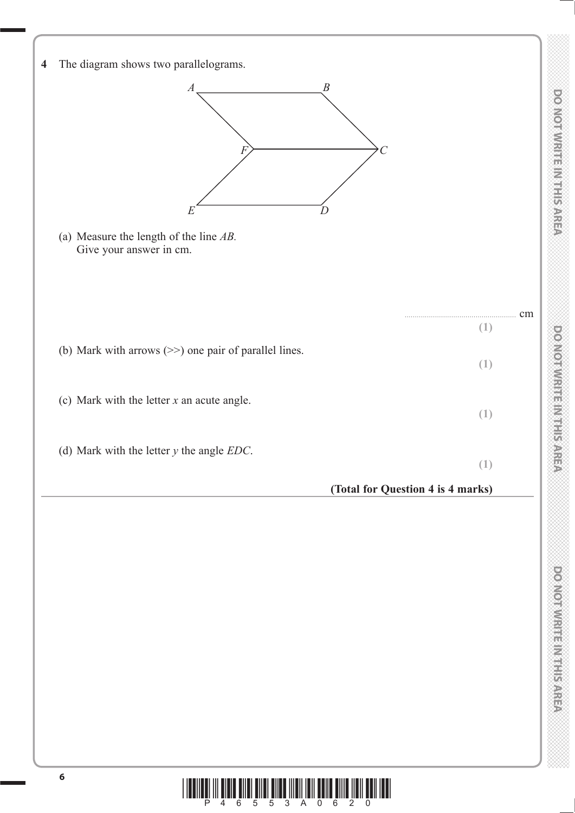**4** The diagram shows two parallelograms. *A B E D F*  $\left\}$   $\longrightarrow$  *C*  (a) Measure the length of the line *AB.* Give your answer in cm. ....................................................... cm **(1)** (b) Mark with arrows (>>) one pair of parallel lines. **(1)** (c) Mark with the letter *x* an acute angle. **(1)** (d) Mark with the letter *y* the angle *EDC*. **(1) (Total for Question 4 is 4 marks)**

**DO NOT WRITE IN THIS AREA DO NOT WRITE IN THIS AREA DO NOT WRITE IN THIS AREA DO NOT WRITE IN THIS AREA DO NOT WRITE IN THIS AREA DO NOT WRITE IN THIS AREA DO NOT WRITE IN THIS AREA DO NOT WRITE IN THIS AREA DO NOT WRITE** 

**DO NOTAN: TEIN HERRISARE** 

DOMOTWRITE MITHIEMS

DO NOTWRITEIN THIS AREA

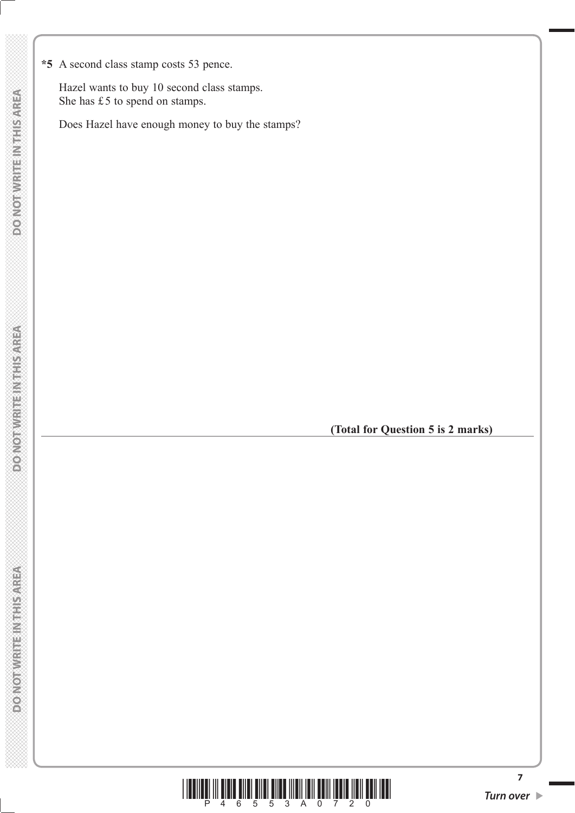**\*5** A second class stamp costs 53 pence.

 Hazel wants to buy 10 second class stamps. She has £5 to spend on stamps.

Does Hazel have enough money to buy the stamps?

**(Total for Question 5 is 2 marks)**



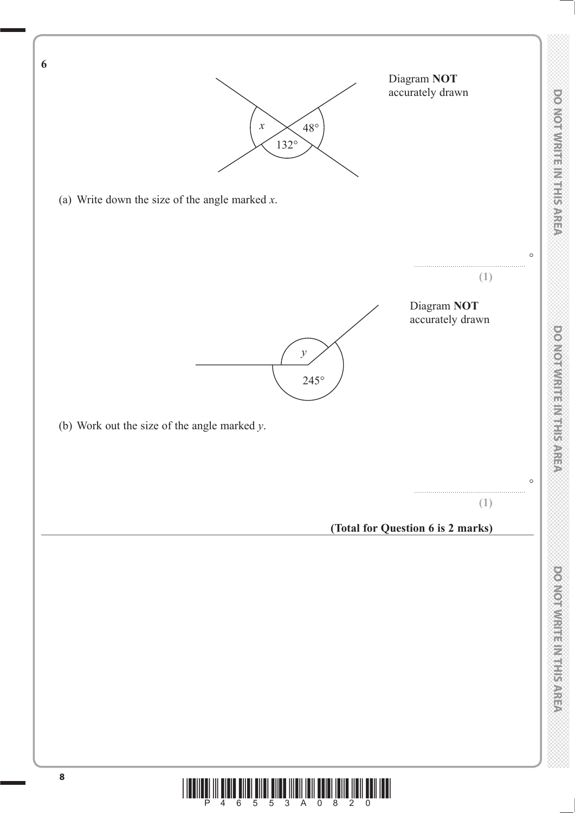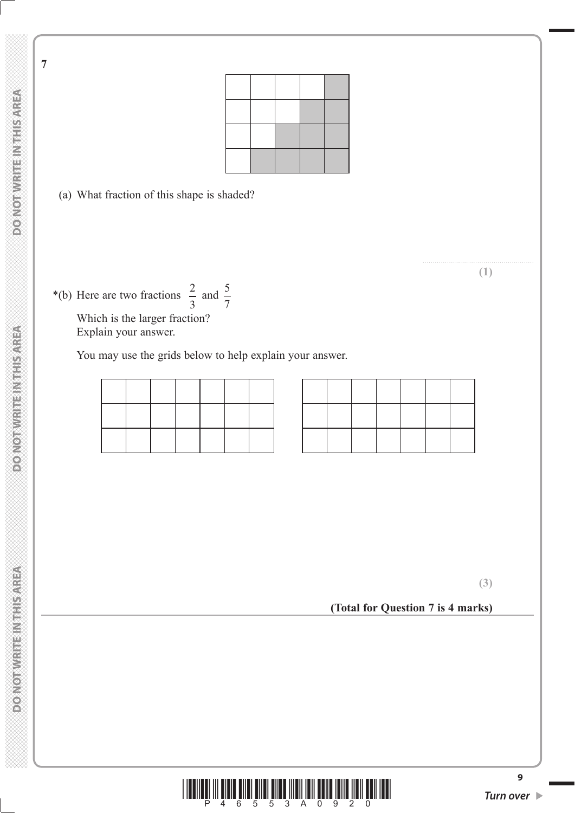**7**

(a) What fraction of this shape is shaded?

Which is the larger fraction? Explain your answer.

\*(b) Here are two fractions  $\frac{2}{3}$  and  $\frac{3}{7}$ 

You may use the grids below to help explain your answer.

**(Total for Question 7 is 4 marks)**



....................................................... **(1)**



**(3)**

**DO NOT WRITE INTHIS AREA**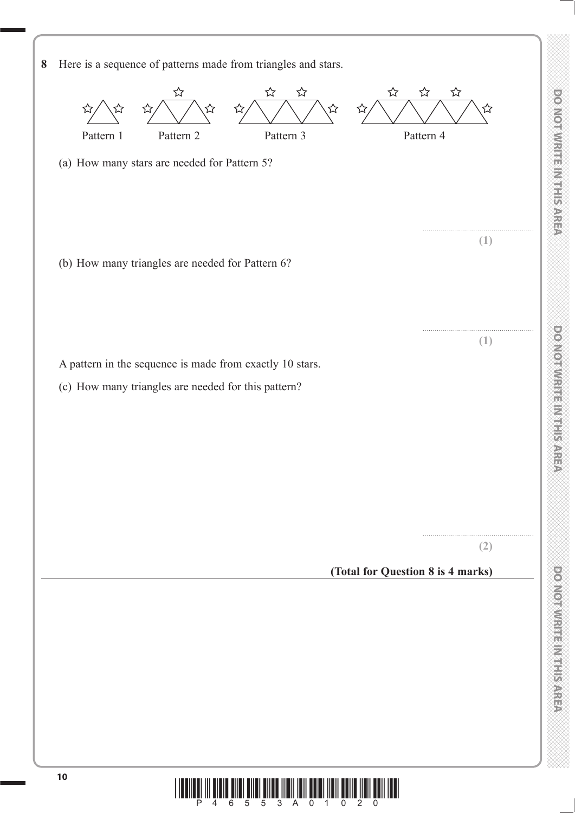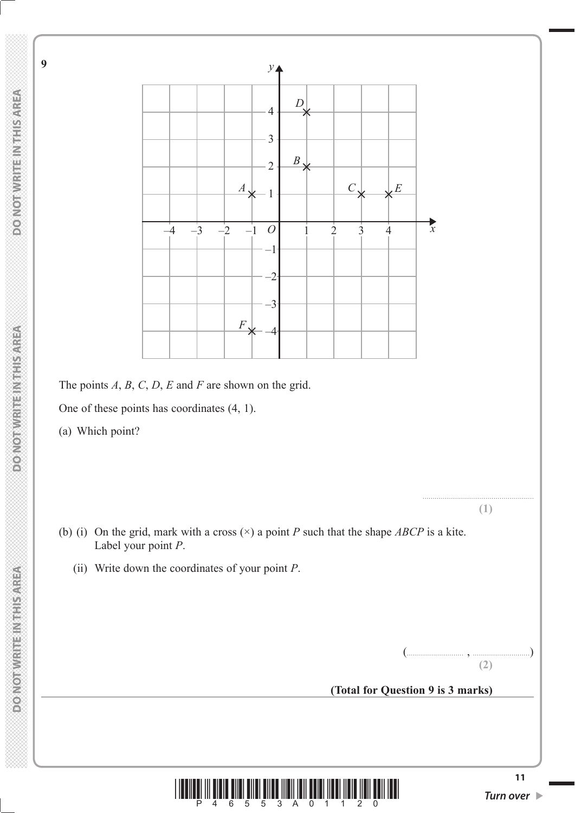

The points *A*, *B*, *C*, *D*, *E* and *F* are shown on the grid.

One of these points has coordinates (4, 1).

(a) Which point?

- (b) (i) On the grid, mark with a cross (×) a point *P* such that the shape *ABCP* is a kite. Label your point *P*.
	- (ii) Write down the coordinates of your point *P*.

(............................ , ............................) **(2)**

....................................................... **(1)**

**(Total for Question 9 is 3 marks)**

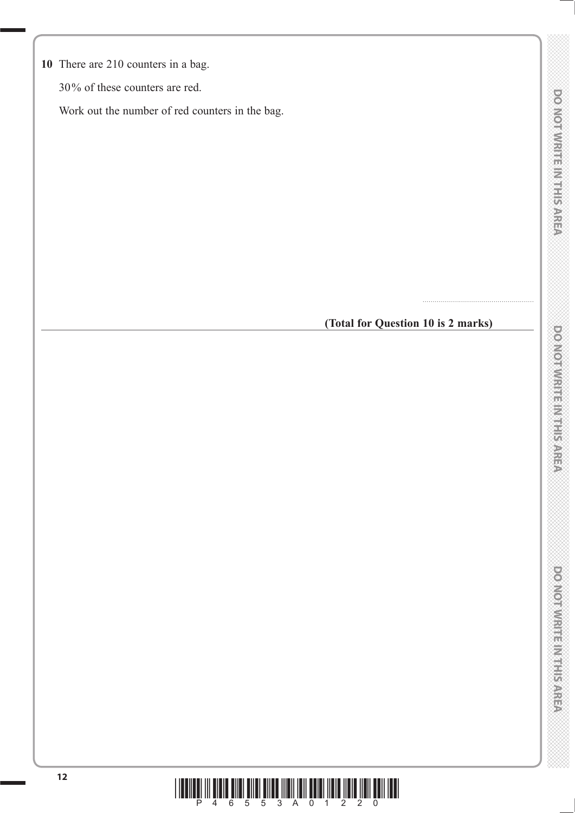**10** There are 210 counters in a bag.

30% of these counters are red.

Work out the number of red counters in the bag.

## **(Total for Question 10 is 2 marks)**

.......................................................

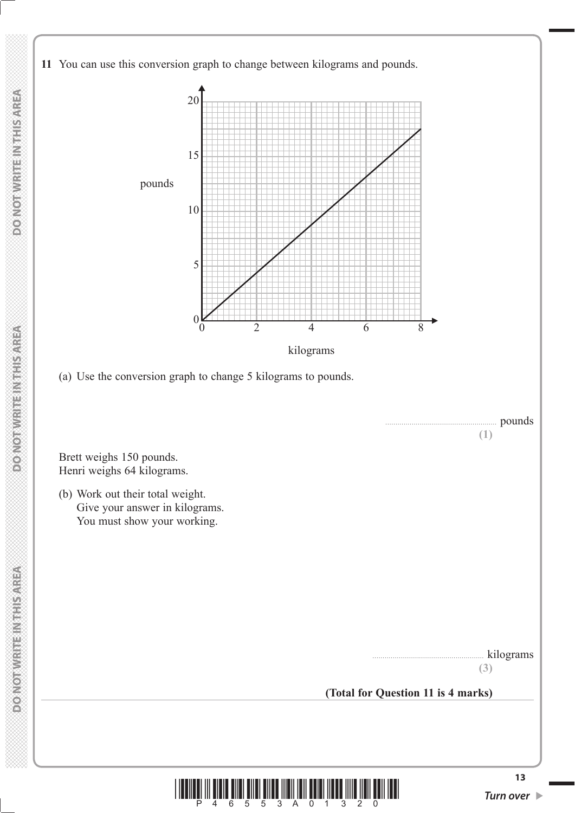**11** You can use this conversion graph to change between kilograms and pounds.



 Brett weighs 150 pounds. Henri weighs 64 kilograms.

 (b) Work out their total weight. Give your answer in kilograms. You must show your working.



kilograms

**(3)**

**(Total for Question 11 is 4 marks)**

**DOMOTWRITEINTHISAREA**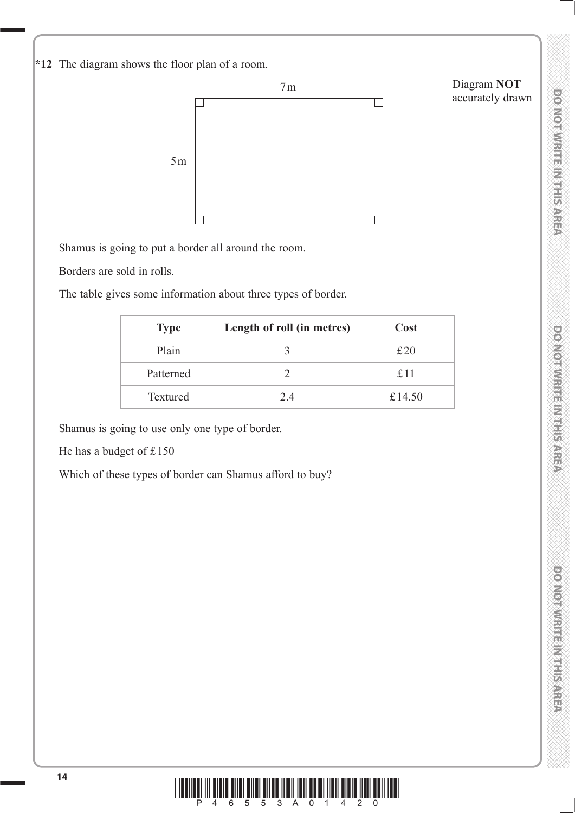**\*12** The diagram shows the floor plan of a room.



Shamus is going to put a border all around the room.

Borders are sold in rolls.

The table gives some information about three types of border.

| <b>Type</b>     | Length of roll (in metres) | Cost   |
|-----------------|----------------------------|--------|
| Plain           |                            | £20    |
| Patterned       |                            | £11    |
| <b>Textured</b> | 2.4                        | £14.50 |

Shamus is going to use only one type of border.

He has a budget of £150

Which of these types of border can Shamus afford to buy?

Diagram **NOT** accurately drawn

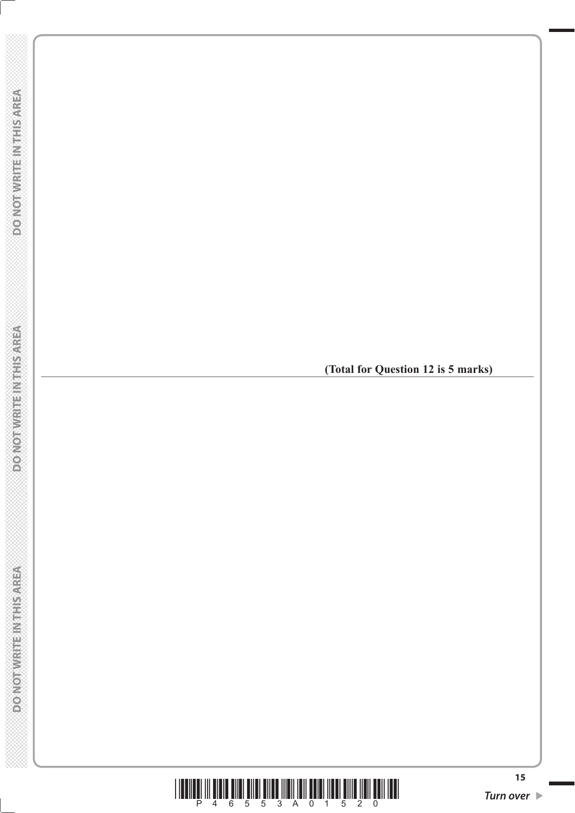

**(Total for Question 12 is 5 marks)**

**DONOT WRITEIN THIS AREA** 

**DOMOTHISTER NTHIS AREA**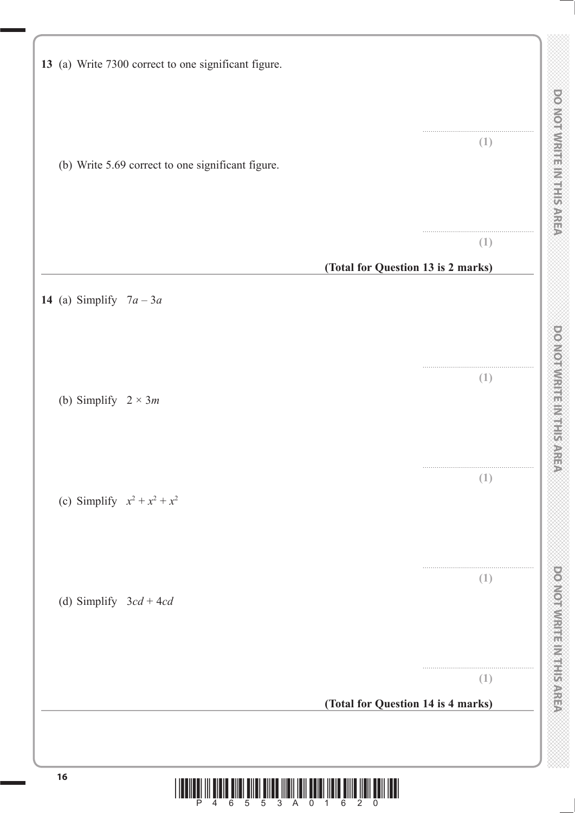| 13 (a) Write 7300 correct to one significant figure. |                                           |
|------------------------------------------------------|-------------------------------------------|
| (b) Write 5.69 correct to one significant figure.    | (1)                                       |
|                                                      | (1)<br>(Total for Question 13 is 2 marks) |
| 14 (a) Simplify $7a-3a$                              |                                           |
| (b) Simplify $2 \times 3m$                           | (1)                                       |
| (c) Simplify $x^2 + x^2 + x^2$                       | (1)                                       |
| (d) Simplify $3cd + 4cd$                             | (1)                                       |
|                                                      | (1)<br>(Total for Question 14 is 4 marks) |

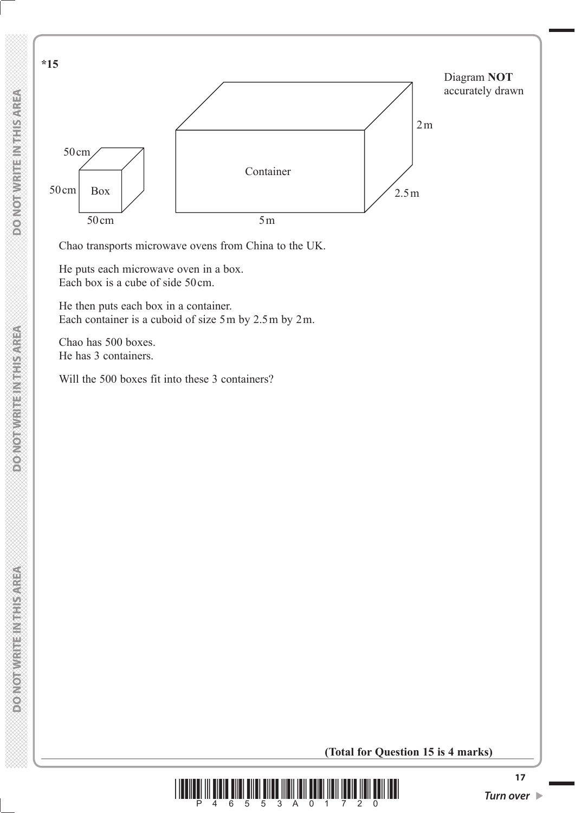

Chao transports microwave ovens from China to the UK.

 He puts each microwave oven in a box. Each box is a cube of side 50cm.

 He then puts each box in a container. Each container is a cuboid of size 5m by 2.5m by 2m.

 Chao has 500 boxes. He has 3 containers.

Will the 500 boxes fit into these 3 containers?

**(Total for Question 15 is 4 marks)**

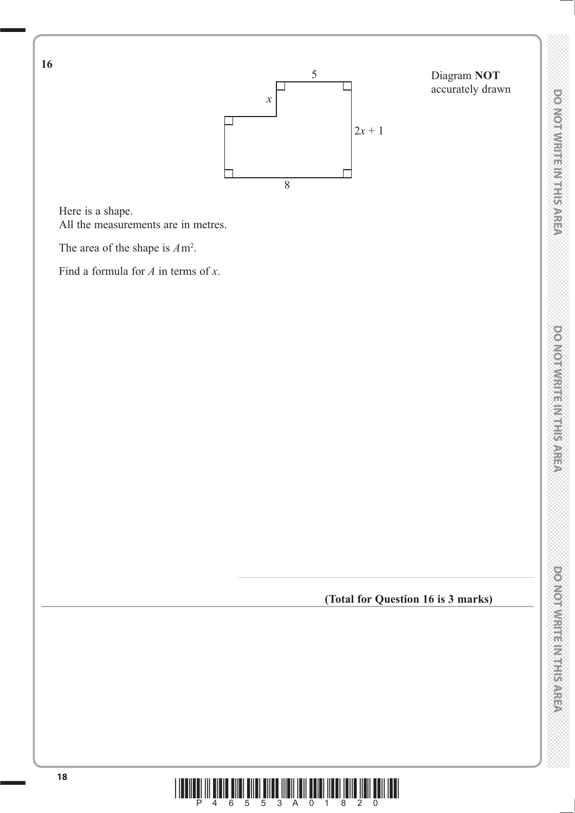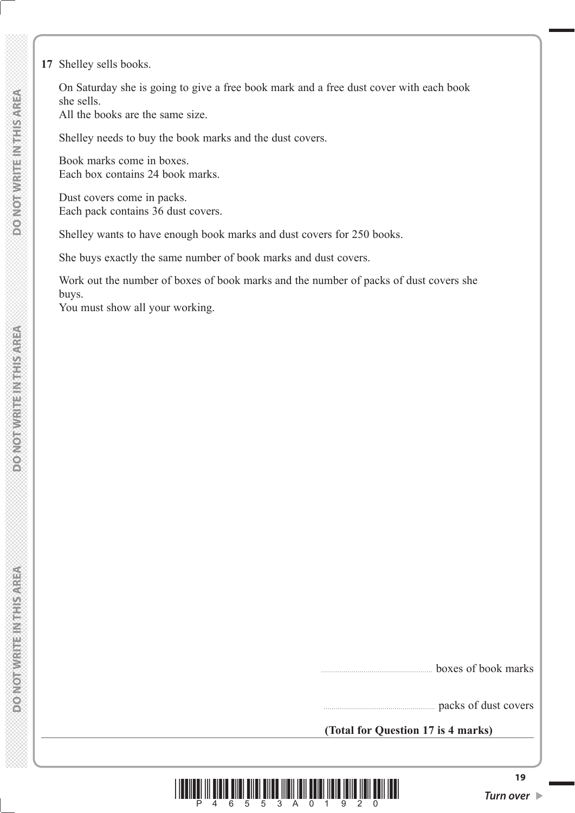**17** Shelley sells books.

 On Saturday she is going to give a free book mark and a free dust cover with each book she sells.

All the books are the same size.

Shelley needs to buy the book marks and the dust covers.

 Book marks come in boxes. Each box contains 24 book marks.

 Dust covers come in packs. Each pack contains 36 dust covers.

Shelley wants to have enough book marks and dust covers for 250 books.

She buys exactly the same number of book marks and dust covers.

 Work out the number of boxes of book marks and the number of packs of dust covers she buys.

You must show all your working.

boxes of book marks

packs of dust covers

**(Total for Question 17 is 4 marks)**



**POINOT WRITE/NITHS/AREA**